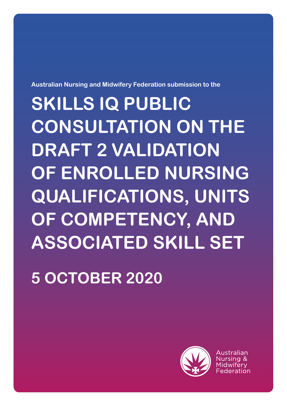**Australian Nursing and Midwifery Federation submission to the**

**SKILLS IQ PUBLIC CONSULTATION ON THE DRAFT 2 VALIDATION OF ENROLLED NURSING QUALIFICATIONS, UNITS OF COMPETENCY, AND ASSOCIATED SKILL SET**

**5 OCTOBER 2020**

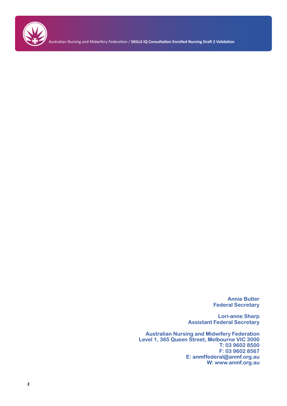

Australian Nursing and Midwifery Federation / **SKILLS IQ Consultation Enrolled Nursing Draft 2 Validation**

**Annie Butler Federal Secretary**

**Lori-anne Sharp Assistant Federal Secretary**

**Australian Nursing and Midwifery Federation Level 1, 365 Queen Street, Melbourne VIC 3000 T: 03 9602 8500 F: 03 9602 8567 E: anmffederal@anmf.org.au W: www.anmf.org.au**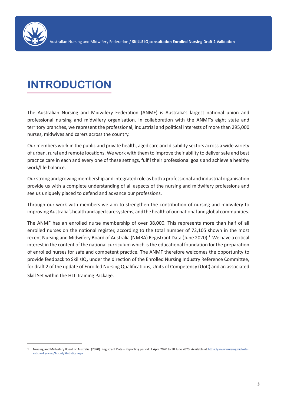

# **INTRODUCTION**

The Australian Nursing and Midwifery Federation (ANMF) is Australia's largest national union and professional nursing and midwifery organisation. In collaboration with the ANMF's eight state and territory branches, we represent the professional, industrial and political interests of more than 295,000 nurses, midwives and carers across the country.

Our members work in the public and private health, aged care and disability sectors across a wide variety of urban, rural and remote locations. We work with them to improve their ability to deliver safe and best practice care in each and every one of these settings, fulfil their professional goals and achieve a healthy work/life balance.

Our strong and growing membership and integrated role as both a professional and industrial organisation provide us with a complete understanding of all aspects of the nursing and midwifery professions and see us uniquely placed to defend and advance our professions.

Through our work with members we aim to strengthen the contribution of nursing and midwifery to improving Australia's health and aged care systems, and the health of our national and global communities.

The ANMF has an enrolled nurse membership of over 38,000. This represents more than half of all enrolled nurses on the national register, according to the total number of 72,105 shown in the most recent Nursing and Midwifery Board of Australia (NMBA) Registrant Data (June 2020).<sup>1</sup> We have a critical interest in the content of the national curriculum which is the educational foundation for the preparation of enrolled nurses for safe and competent practice. The ANMF therefore welcomes the opportunity to provide feedback to SkillsIQ, under the direction of the Enrolled Nursing Industry Reference Committee, for draft 2 of the update of Enrolled Nursing Qualifications, Units of Competency (UoC) and an associated Skill Set within the HLT Training Package.

<sup>1.</sup> Nursing and Midwifery Board of Australia. (2020). Registrant Data – Reporting period: 1 April 2020 to 30 June 2020. Available at:https://www.nursingmidwiferyboard.gov.au/About/Statistics.aspx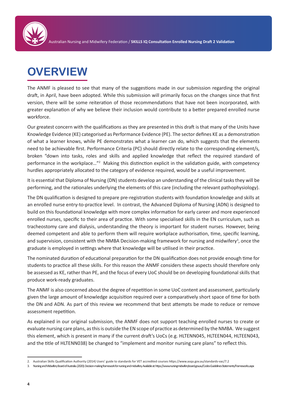

# **OVERVIEW**

The ANMF is pleased to see that many of the suggestions made in our submission regarding the original draft, in April, have been adopted. While this submission will primarily focus on the changes since that first version, there will be some reiteration of those recommendations that have not been incorporated, with greater explanation of why we believe their inclusion would contribute to a better prepared enrolled nurse workforce.

Our greatest concern with the qualifications as they are presented in this draft is that many of the Units have Knowledge Evidence (KE) categorised as Performance Evidence (PE). The sector defines KE as a demonstration of what a learner knows, while PE demonstrates what a learner can do, which suggests that the elements need to be achievable first. Performance Criteria (PC) should directly relate to the corresponding element/s, broken "down into tasks, roles and skills and applied knowledge that reflect the required standard of performance in the workplace..."<sup>2</sup> Making this distinction explicit in the validation guide, with competency hurdles appropriately allocated to the category of evidence required, would be a useful improvement.

It is essential that Diploma of Nursing (DN) students develop an understanding of the clinical tasks they will be performing, and the rationales underlying the elements of this care (including the relevant pathophysiology).

The DN qualification is designed to prepare pre-registration students with foundation knowledge and skills at an enrolled nurse entry-to-practice level. In contrast, the Advanced Diploma of Nursing (ADN) is designed to build on this foundational knowledge with more complex information for early career and more experienced enrolled nurses, specific to their area of practice. With some specialised skills in the EN curriculum, such as tracheostomy care and dialysis, understanding the theory is important for student nurses. However, being deemed competent and able to perform them will require workplace authorisation, time, specific learning, and supervision, consistent with the NMBA Decision-making framework for nursing and midwifery<sup>3</sup>, once the graduate is employed in settings where that knowledge will be utilised in their practice.

The nominated duration of educational preparation for the DN qualification does not provide enough time for students to practice all these skills. For this reason the ANMF considers these aspects should therefore only be assessed as KE, rather than PE, and the focus of every UoC should be on developing foundational skills that produce work-ready graduates.

The ANMF is also concerned about the degree of repetition in some UoC content and assessment, particularly given the large amount of knowledge acquisition required over a comparatively short space of time for both the DN and ADN. As part of this review we recommend that best attempts be made to reduce or remove assessment repetition.

As explained in our original submission, the ANMF does not support teaching enrolled nurses to create or evaluate nursing care plans, as this is outside the EN scope of practice as determined by the NMBA. We suggest this element, which is present in many if the current draft's UoCs (e.g. HLTENN045, HLTEEN044, HLTEEN043, and the title of HLTENN038) be changed to "implement and monitor nursing care plans" to reflect this.

<sup>2.</sup> Australian Skills Qualification Authority (2014) Users' guide to standards for VET accredited courses https://www.asqa.gov.au/standards-vac/7.2

<sup>3.</sup> Nursing and Midwifery Board of Australia. (2020). Decision-making framework for nursing and midwifery. Available at: https://www.nursingmidwiferyboard.gov.au/Codes-Guidelines-Statements/Frameworks.aspx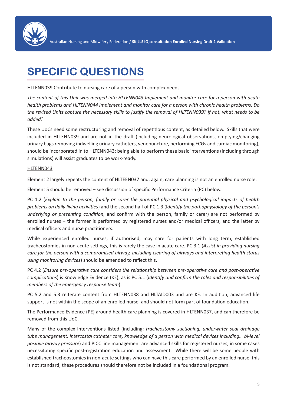

# **SPECIFIC QUESTIONS**

## HLTENN039 Contribute to nursing care of a person with complex needs

*The content of this Unit was merged into HLTENN043 Implement and monitor care for a person with acute health problems and HLTENN044 Implement and monitor care for a person with chronic health problems. Do the revised Units capture the necessary skills to justify the removal of HLTENN039? If not, what needs to be added?*

These UoCs need some restructuring and removal of repetitious content, as detailed below. Skills that were included in HLTENN039 and are not in the draft (including neurological observations, emptying/changing urinary bags removing indwelling urinary catheters, venepuncture, performing ECGs and cardiac monitoring), should be incorporated in to HLTENN043; being able to perform these basic interventions (including through simulations) will assist graduates to be work-ready.

## HLTENN043

Element 2 largely repeats the content of HLTEEN037 and, again, care planning is not an enrolled nurse role.

Element 5 should be removed – see discussion of specific Performance Criteria (PC) below.

PC 1.2 (*Explain to the person, family or carer the potential physical and psychological impacts of health problems on daily living activities*) and the second half of PC 1.3 (I*dentify the pathophysiology of the person's underlying or presenting condition,* and confirm with the person, family or carer) are not performed by enrolled nurses – the former is performed by registered nurses and/or medical officers, and the latter by medical officers and nurse practitioners.

While experienced enrolled nurses, if authorised, may care for patients with long term, established tracheostomies in non-acute settings, this is rarely the case in acute care. PC 3.1 (*Assist in providing nursing care for the person with a compromised airway, including clearing of airways and interpreting health status using monitoring devices*) should be amended to reflect this.

PC 4.2 (*Ensure pre-operative care considers the relationship between pre-operative care and post-operative complications*) is Knowledge Evidence (KE), as is PC 5.1 (*Identify and confirm the roles and responsibilities of members of the emergency response team*).

PC 5.2 and 5.3 reiterate content from HLTENN038 and HLTAID003 and are KE. In addition, advanced life support is not within the scope of an enrolled nurse, and should not form part of foundation education.

The Performance Evidence (PE) around health care planning is covered in HLTENN037, and can therefore be removed from this UoC.

Many of the complex interventions listed (including: *tracheostomy suctioning, underwater seal drainage tube management, intercostal catheter care, knowledge of a person with medical devices including… bi-level positive airway pressure*) and PICC line management are advanced skills for registered nurses, in some cases necessitating specific post-registration education and assessment. While there will be some people with established tracheostomies in non-acute settings who can have this care performed by an enrolled nurse, this is not standard; these procedures should therefore not be included in a foundational program.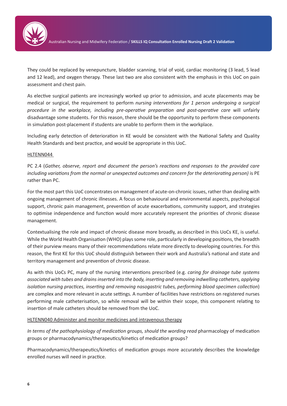

They could be replaced by venepuncture, bladder scanning, trial of void, cardiac monitoring (3 lead, 5 lead and 12 lead), and oxygen therapy. These last two are also consistent with the emphasis in this UoC on pain assessment and chest pain.

As elective surgical patients are increasingly worked up prior to admission, and acute placements may be medical or surgical, the requirement to perform *nursing interventions for 1 person undergoing a surgical procedure in the workplace, including pre-operative preparation and post-operative care* will unfairly disadvantage some students. For this reason, there should be the opportunity to perform these components in simulation post-placement if students are unable to perform them in the workplace.

Including early detection of deterioration in KE would be consistent with the National Safety and Quality Health Standards and best practice, and would be appropriate in this UoC.

#### HLTENN044

PC 2.4 (*Gather, observe, report and document the person's reactions and responses to the provided care including variations from the normal or unexpected outcomes and concern for the deteriorating person)* is PE rather than PC.

For the most part this UoC concentrates on management of acute-on-chronic issues, rather than dealing with ongoing management of chronic illnesses. A focus on behavioural and environmental aspects, psychological support, chronic pain management, prevention of acute exacerbations, community support, and strategies to optimise independence and function would more accurately represent the priorities of chronic disease management.

Contextualising the role and impact of chronic disease more broadly, as described in this UoCs KE, is useful. While the World Health Organisation (WHO) plays some role, particularly in developing positions, the breadth of their purview means many of their recommendations relate more directly to developing countries. For this reason, the first KE for this UoC should distinguish between their work and Australia's national and state and territory management and prevention of chronic disease.

As with this UoCs PC, many of the nursing interventions prescribed (e.g. *caring for drainage tube systems associated with tubes and drains inserted into the body, inserting and removing indwelling catheters, applying isolation nursing practices, inserting and removing nasogastric tubes, performing blood specimen collection*) are complex and more relevant in acute settings. A number of facilities have restrictions on registered nurses performing male catheterisation, so while removal will be within their scope, this component relating to insertion of male catheters should be removed from the UoC.

## HLTENN040 Administer and monitor medicines and intravenous therapy

*In terms of the pathophysiology of medication groups, should the wording read* pharmacology of medication groups or pharmacodynamics/therapeutics/kinetics of medication groups?

Pharmacodynamics/therapeutics/kinetics of medication groups more accurately describes the knowledge enrolled nurses will need in practice.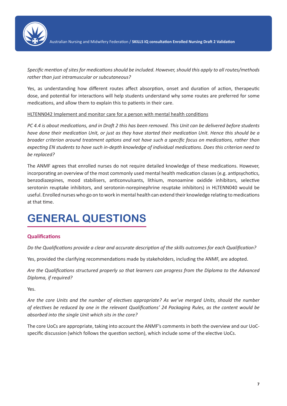

*Specific mention of sites for medications should be included. However, should this apply to all routes/methods rather than just intramuscular or subcutaneous?*

Yes, as understanding how different routes affect absorption, onset and duration of action, therapeutic dose, and potential for interactions will help students understand why some routes are preferred for some medications, and allow them to explain this to patients in their care.

## HLTENN042 Implement and monitor care for a person with mental health conditions

*PC 4.4 is about medications, and in Draft 2 this has been removed. This Unit can be delivered before students have done their medication Unit, or just as they have started their medication Unit. Hence this should be a broader criterion around treatment options and not have such a specific focus on medications, rather than expecting EN students to have such in-depth knowledge of individual medications. Does this criterion need to be replaced?*

The ANMF agrees that enrolled nurses do not require detailed knowledge of these medications. However, incorporating an overview of the most commonly used mental health medication classes (e.g. antipsychotics, benzodiazepines, mood stabilisers, anticonvulsants, lithium, monoamine oxidide inhibitors, selective serotonin reuptake inhibitors, and serotonin-norepinephrine reuptake inhibitors) in HLTENN040 would be useful. Enrolled nurses who go on to work in mental health can extend their knowledge relating to medications at that time.

# **GENERAL QUESTIONS**

# **Qualifications**

*Do the Qualifications provide a clear and accurate description of the skills outcomes for each Qualification?*

Yes, provided the clarifying recommendations made by stakeholders, including the ANMF, are adopted.

*Are the Qualifications structured properly so that learners can progress from the Diploma to the Advanced Diploma, if required?*

Yes.

*Are the core Units and the number of electives appropriate? As we've merged Units, should the number of electives be reduced by one in the relevant Qualifications' 24 Packaging Rules, as the content would be absorbed into the single Unit which sits in the core?*

The core UoCs are appropriate, taking into account the ANMF's comments in both the overview and our UoCspecific discussion (which follows the question section), which include some of the elective UoCs.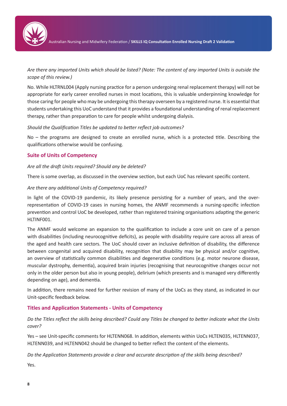

*Are there any imported Units which should be listed? (Note: The content of any imported Units is outside the scope of this review.)*

No. While HLTRNL004 (Apply nursing practice for a person undergoing renal replacement therapy) will not be appropriate for early career enrolled nurses in most locations, this is valuable underpinning knowledge for those caring for people who may be undergoing this therapy overseen by a registered nurse. It is essential that students undertaking this UoC understand that it provides a foundational understanding of renal replacement therapy, rather than preparation to care for people whilst undergoing dialysis.

*Should the Qualification Titles be updated to better reflect job outcomes?*

No – the programs are designed to create an enrolled nurse, which is a protected title. Describing the qualifications otherwise would be confusing.

# **Suite of Units of Competency**

## *Are all the draft Units required? Should any be deleted?*

There is some overlap, as discussed in the overview section, but each UoC has relevant specific content.

#### *Are there any additional Units of Competency required?*

In light of the COVID-19 pandemic, its likely presence persisting for a number of years, and the overrepresentation of COVID-19 cases in nursing homes, the ANMF recommends a nursing-specific infection prevention and control UoC be developed, rather than registered training organisations adapting the generic HLTINF001.

The ANMF would welcome an expansion to the qualification to include a core unit on care of a person with disabilities (including neurocognitive deficits), as people with disability require care across all areas of the aged and health care sectors. The UoC should cover an inclusive definition of disability, the difference between congenital and acquired disability, recognition that disability may be physical and/or cognitive, an overview of statistically common disabilities and degenerative conditions (e.g. motor neurone disease, muscular dystrophy, dementia), acquired brain injuries (recognising that neurocognitive changes occur not only in the older person but also in young people), delirium (which presents and is managed very differently depending on age), and dementia.

In addition, there remains need for further revision of many of the UoCs as they stand, as indicated in our Unit-specific feedback below.

## **Titles and Application Statements - Units of Competency**

*Do the Titles reflect the skills being described? Could any Titles be changed to better indicate what the Units cover?*

Yes – see Unit-specific comments for HLTENN068. In addition, elements within UoCs HLTEN035, HLTENN037, HLTENN039, and HLTENN042 should be changed to better reflect the content of the elements.

*Do the Application Statements provide a clear and accurate description of the skills being described?*

Yes.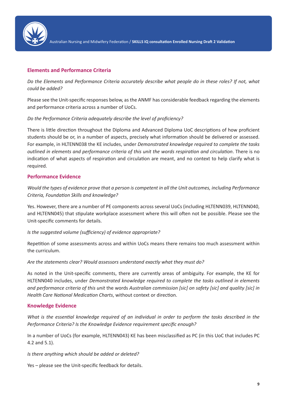

# **Elements and Performance Criteria**

*Do the Elements and Performance Criteria accurately describe what people do in these roles? If not, what could be added?*

Please see the Unit-specific responses below, as the ANMF has considerable feedback regarding the elements and performance criteria across a number of UoCs.

## *Do the Performance Criteria adequately describe the level of proficiency?*

There is little direction throughout the Diploma and Advanced Diploma UoC descriptions of how proficient students should be or, in a number of aspects, precisely what information should be delivered or assessed. For example, in HLTENN038 the KE includes, under *Demonstrated knowledge required to complete the tasks outlined in elements and performance criteria of this unit the words respiration and circulation*. There is no indication of what aspects of respiration and circulation are meant, and no context to help clarify what is required.

## **Performance Evidence**

*Would the types of evidence prove that a person is competent in all the Unit outcomes, including Performance Criteria, Foundation Skills and knowledge?*

Yes. However, there are a number of PE components across several UoCs (including HLTENN039, HLTENN040, and HLTENN045) that stipulate workplace assessment where this will often not be possible. Please see the Unit-specific comments for details.

## *Is the suggested volume (sufficiency) of evidence appropriate?*

Repetition of some assessments across and within UoCs means there remains too much assessment within the curriculum.

*Are the statements clear? Would assessors understand exactly what they must do?*

As noted in the Unit-specific comments, there are currently areas of ambiguity. For example, the KE for HLTENN040 includes, under *Demonstrated knowledge required to complete the tasks outlined in elements and performance criteria of this unit* the words *Australian commission [sic] on safety [sic] and quality [sic] in Health Care National Medication Charts*, without context or direction.

## **Knowledge Evidence**

*What is the essential knowledge required of an individual in order to perform the tasks described in the Performance Criteria? Is the Knowledge Evidence requirement specific enough?*

In a number of UoCs (for example, HLTENN043) KE has been misclassified as PC (in this UoC that includes PC 4.2 and 5.1).

*Is there anything which should be added or deleted?*

Yes – please see the Unit-specific feedback for details.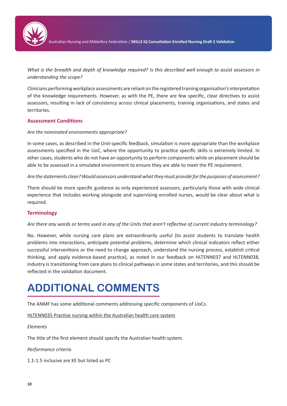

*What is the breadth and depth of knowledge required? Is this described well enough to assist assessors in understanding the scope?*

Clinicians performing workplace assessments are reliant on the registered training organisation's interpretation of the knowledge requirements. However, as with the PE, there are few specific, clear directives to assist assessors, resulting in lack of consistency across clinical placements, training organisations, and states and territories.

## **Assessment Conditions**

## *Are the nominated environments appropriate?*

In some cases, as described in the Unit-specific feedback, simulation is more appropriate than the workplace assessments specified in the UoC, where the opportunity to practice specific skills is extremely limited. In other cases, students who do not have an opportunity to perform components while on placement should be able to be assessed in a simulated environment to ensure they are able to meet the PE requirement.

## *Are the statements clear? Would assessors understand what they must provide for the purposes of assessment?*

There should be more specific guidance as only experienced assessors, particularly those with wide clinical experience that includes working alongside and supervising enrolled nurses, would be clear about what is required.

# **Terminology**

## *Are there any words or terms used in any of the Units that aren't reflective of current industry terminology?*

No. However, while nursing care plans are extraordinarily useful (to assist students to translate health problems into interactions, anticipate potential problems, determine which clinical indicators reflect either successful interventions or the need to change approach, understand the nursing process, establish critical thinking, and apply evidence-based practice), as noted in our feedback on HLTENN037 and HLTENN038, industry is transitioning from care plans to clinical pathways in some states and territories, and this should be reflected in the validation document.

# **ADDITIONAL COMMENTS**

The ANMF has some additional comments addressing specific components of UoCs.

HLTENN035 Practise nursing within the Australian health care system

## *Elements*

The title of the first element should specify the Australian health system.

*Performance criteria*

1.1-1.5 inclusive are KE but listed as PC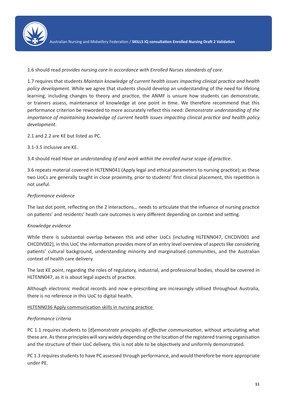

## 1.6 should read *provides nursing care in accordance with Enrolled Nurses standards of care*.

1.7 requires that students *Maintain knowledge of current health issues impacting clinical practice and health policy development*. While we agree that students should develop an understanding of the need for lifelong learning, including changes to theory and practice, the ANMF is unsure how students can demonstrate, or trainers assess, maintenance of knowledge at one point in time. We therefore recommend that this performance criterion be reworded to more accurately reflect this need: *Demonstrate understanding of the importance of maintaining knowledge of current health issues impacting clinical practice and health policy development*.

2.1 and 2.2 are KE but listed as PC.

3.1-3.5 inclusive are KE.

3.4 should read *Have an understanding of and work within the enrolled nurse scope of practice*.

3.6 repeats material covered in HLTENN041 (Apply legal and ethical parameters to nursing practice); as these two UoCs are generally taught in close proximity, prior to students' first clinical placement, this repetition is not useful.

# *Performance evidence*

The last dot point, reflecting on the 2 interactions… needs to articulate that the influence of nursing practice on patients' and residents' heath care outcomes is very different depending on context and setting.

## *Knowledge evidence*

While there is substantial overlap between this and other UoCs (including HLTENN047, CHCDIV001 and CHCDIV002), in this UoC the information provides more of an entry level overview of aspects like considering patients' cultural background, understanding minority and marginalised communities, and the Australian context of health care delivery.

The last KE point, regarding the roles of regulatory, industrial, and professional bodies, should be covered in HLTENN047, as it is about legal aspects of practice.

Although electronic medical records and now e-prescribing are increasingly utilised throughout Australia, there is no reference in this UoC to digital health.

HLTENN036 Apply communication skills in nursing practice

## *Performance criteria*

PC 1.1 requires students to [d]*emonstrate principles of effective communication*, without articulating what these are. As these principles will vary widely depending on the location of the registered training organisation and the structure of their UoC delivery, this is not able to be objectively and uniformly demonstrated.

PC 1.3 requires students to have PC assessed through performance, and would therefore be more appropriate under PE.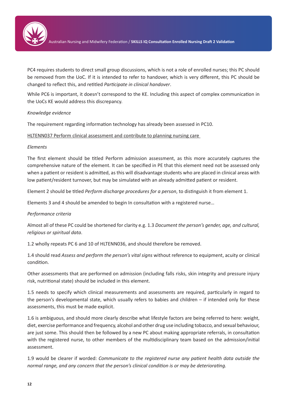

PC4 requires students to direct small group discussions, which is not a role of enrolled nurses; this PC should be removed from the UoC. If it is intended to refer to handover, which is very different, this PC should be changed to reflect this, and retitled *Participate in clinical handover*.

While PC6 is important, it doesn't correspond to the KE. Including this aspect of complex communication in the UoCs KE would address this discrepancy.

## *Knowledge evidence*

The requirement regarding information technology has already been assessed in PC10.

HLTENN037 Perform clinical assessment and contribute to planning nursing care

## *Elements*

The first element should be titled Perform admission assessment, as this more accurately captures the comprehensive nature of the element. It can be specified in PE that this element need not be assessed only when a patient or resident is admitted, as this will disadvantage students who are placed in clinical areas with low patient/resident turnover, but may be simulated with an already admitted patient or resident.

Element 2 should be titled *Perform discharge procedures for a person*, to distinguish it from element 1.

Elements 3 and 4 should be amended to begin In consultation with a registered nurse…

## *Performance criteria*

Almost all of these PC could be shortened for clarity e.g. 1.3 *Document the person's gender, age, and cultural, religious or spiritual data*.

1.2 wholly repeats PC 6 and 10 of HLTENN036, and should therefore be removed.

1.4 should read *Assess and perform the person's vital signs* without reference to equipment, acuity or clinical condition.

Other assessments that are performed on admission (including falls risks, skin integrity and pressure injury risk, nutritional state) should be included in this element.

1.5 needs to specify which clinical measurements and assessments are required, particularly in regard to the person's developmental state, which usually refers to babies and children – if intended only for these assessments, this must be made explicit.

1.6 is ambiguous, and should more clearly describe what lifestyle factors are being referred to here: weight, diet, exercise performance and frequency, alcohol and other drug use including tobacco, and sexual behaviour, are just some. This should then be followed by a new PC about making appropriate referrals, in consultation with the registered nurse, to other members of the multidisciplinary team based on the admission/initial assessment.

1.9 would be clearer if worded: *Communicate to the registered nurse any patient health data outside the normal range, and any concern that the person's clinical condition is or may be deteriorating.*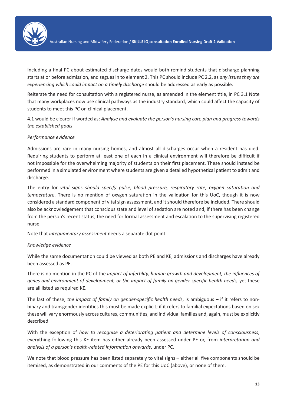

Including a final PC about estimated discharge dates would both remind students that discharge planning starts at or before admission, and segues in to element 2. This PC should include PC 2.2, as *any issues they are experiencing which could impact on a timely discharge* should be addressed as early as possible.

Reiterate the need for consultation with a registered nurse, as amended in the element title, in PC 3.1 Note that many workplaces now use clinical pathways as the industry standard, which could affect the capacity of students to meet this PC on clinical placement.

4.1 would be clearer if worded as: *Analyse and evaluate the person's nursing care plan and progress towards the established goals*.

## *Performance evidence*

Admissions are rare in many nursing homes, and almost all discharges occur when a resident has died. Requiring students to perform at least one of each in a clinical environment will therefore be difficult if not impossible for the overwhelming majority of students on their first placement. These should instead be performed in a simulated environment where students are given a detailed hypothetical patient to admit and discharge.

The entry for *vital signs should specify pulse, blood pressure, respiratory rate, oxygen saturation and temperature*. There is no mention of oxygen saturation in the validation for this UoC, though it is now considered a standard component of vital sign assessment, and it should therefore be included. There should also be acknowledgement that conscious state and level of sedation are noted and, if there has been change from the person's recent status, the need for formal assessment and escalation to the supervising registered nurse.

Note that *integumentary assessment* needs a separate dot point.

## *Knowledge evidence*

While the same documentation could be viewed as both PE and KE, admissions and discharges have already been assessed as PE.

There is no mention in the PC of the *impact of infertility, human growth and development, the influences of genes and environment of development, or the impact of family on gender-specific health needs,* yet these are all listed as required KE.

The last of these, *the impact of family on gender-specific health need*s, is ambiguous – if it refers to nonbinary and transgender identities this must be made explicit; if it refers to familial expectations based on sex these will vary enormously across cultures, communities, and individual families and, again, must be explicitly described.

With the exception of *how to recognise a deteriorating patient and determine levels of consciousness*, everything following this KE item has either already been assessed under PE or, from *interpretation and analysis of a person's health-related information onwards*, under PC.

We note that blood pressure has been listed separately to vital signs – either all five components should be itemised, as demonstrated in our comments of the PE for this UoC (above), or none of them.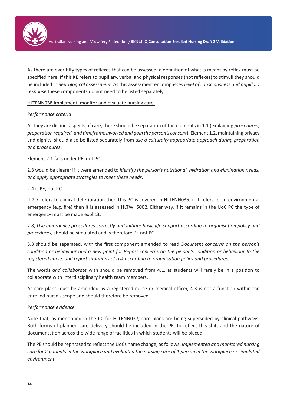

As there are over fifty types of reflexes that can be assessed, a definition of what is meant by reflex must be specified here. If this KE refers to pupillary, verbal and physical responses (not reflexes) to stimuli they should be included in *neurological assessment*. As this assessment encompasses *level of consciousness and pupillary response* these components do not need to be listed separately.

HLTENN038 Implement, monitor and evaluate nursing care

## *Performance criteria*

As they are distinct aspects of care, there should be separation of the elements in 1.1 (explaining *procedures, preparation required, and timeframe involved and gain the person's consent*). Element 1.2, maintaining privacy and dignity, should also be listed separately from *use a culturally appropriate approach during preparation and procedures*.

Element 2.1 falls under PE, not PC.

2.3 would be clearer if it were amended to *identify the person's nutritional, hydration and elimination needs, and apply appropriate strategies to meet these needs.*

2.4 is PE, not PC.

If 2.7 refers to clinical deterioration then this PC is covered in HLTENN035; if it refers to an environmental emergency (e.g. fire) then it is assessed in HLTWHS002. Either way, if it remains in the UoC PC the type of emergency must be made explicit.

2.8, *Use emergency procedures correctly and initiate basic life support according to organisation policy and procedures*, should be simulated and is therefore PE not PC.

3.3 should be separated, with the first component amended to read *Document concerns on the person's condition or behaviour and a new point for Report concerns on the person's condition or behaviour to the registered nurse, and report situations of risk according to organisation policy and procedures.*

The words *and collaborate* with should be removed from 4.1, as students will rarely be in a position to collaborate with interdisciplinary health team members.

As care plans must be amended by a registered nurse or medical officer, 4.3 is not a function within the enrolled nurse's scope and should therefore be removed.

## *Performance evidence*

Note that, as mentioned in the PC for HLTENN037, care plans are being superseded by clinical pathways. Both forms of planned care delivery should be included in the PE, to reflect this shift and the nature of documentation across the wide range of facilities in which students will be placed.

The PE should be rephrased to reflect the UoCs name change, as follows: *implemented and monitored nursing care for 2 patients in the workplace and evaluated the nursing care of 1 person in the workplace or simulated environment.*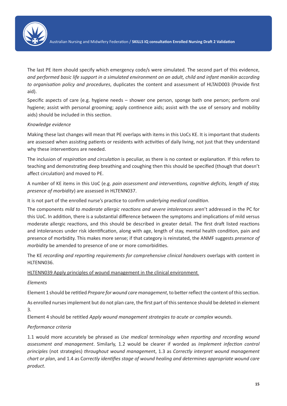

The last PE item should specify which emergency code/s were simulated. The second part of this evidence, *and performed basic life support in a simulated environment on an adult, child and infant manikin according to organisation policy and procedures*, duplicates the content and assessment of HLTAID003 (Provide first aid).

Specific aspects of care (e.g. hygiene needs – shower one person, sponge bath one person; perform oral hygiene; assist with personal grooming; apply continence aids; assist with the use of sensory and mobility aids) should be included in this section.

## *Knowledge evidence*

Making these last changes will mean that PE overlaps with items in this UoCs KE. It is important that students are assessed when assisting patients or residents with activities of daily living, not just that they understand why these interventions are needed.

The inclusion of *respiration and circulation* is peculiar, as there is no context or explanation. If this refers to teaching and demonstrating deep breathing and coughing then this should be specified (though that doesn't affect circulation) and moved to PE.

A number of KE items in this UoC (e.g. *pain assessment and interventions, cognitive deficits, length of stay, presence of morbidity*) are assessed in HLTENN037.

It is not part of the enrolled nurse's practice to confirm *underlying medical condition*.

The components *mild to moderate allergic reactions and severe intolerances* aren't addressed in the PC for this UoC. In addition, there is a substantial difference between the symptoms and implications of mild versus moderate allergic reactions, and this should be described in greater detail. The first draft listed reactions and intolerances under risk identification, along with age, length of stay, mental health condition, pain and presence of morbidity. This makes more sense; if that category is reinstated, the ANMF suggests *presence of morbidity* be amended to presence of one or more comorbidities.

The KE *recording and reporting requirements for comprehensive clinical handovers* overlaps with content in HLTENN036.

HLTENN039 Apply principles of wound management in the clinical environment

*Elements*

Element 1 should be retitled *Prepare for wound care management*, to better reflect the content of this section.

As enrolled nurses implement but do not plan care, the first part of this sentence should be deleted in element 3.

Element 4 should be retitled *Apply wound management strategies to acute or complex wounds*.

# *Performance criteria*

1.1 would more accurately be phrased as *Use medical terminology when reporting and recording wound assessment and management*. Similarly, 1.2 would be clearer if worded as *Implement infection control principles* (not strategies) *throughout wound managemen*t, 1.3 as *Correctly interpret wound management chart or plan*, and 1.4 as C*orrectly identifies stage of wound healing and determines appropriate wound care product*.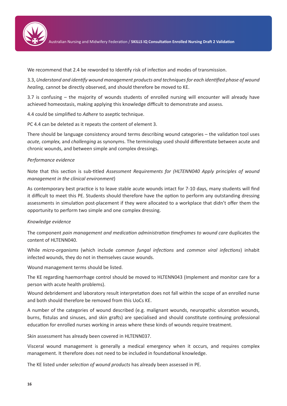

Australian Nursing and Midwifery Federation / **SKILLS IQ Consultation Enrolled Nursing Draft 2 Validation**

We recommend that 2.4 be reworded to Identify risk of infection and modes of transmission.

3.3, *Understand and identify wound management products and techniques for each identified phase of wound healing*, cannot be directly observed, and should therefore be moved to KE.

3.7 is confusing – the majority of wounds students of enrolled nursing will encounter will already have achieved homeostasis, making applying this knowledge difficult to demonstrate and assess.

4.4 could be simplified to *Adhere* to aseptic technique.

PC 4.4 can be deleted as it repeats the content of element 3.

There should be language consistency around terms describing wound categories – the validation tool uses *acute, complex,* and *challenging* as synonyms. The terminology used should differentiate between acute and chronic wounds, and between simple and complex dressings.

## *Performance evidence*

Note that this section is sub-titled *Assessment Requirements for (HLTENN040 Apply principles of wound management in the clinical environment*)

As contemporary best practice is to leave stable acute wounds intact for 7-10 days, many students will find it difficult to meet this PE. Students should therefore have the option to perform any outstanding dressing assessments in simulation post-placement if they were allocated to a workplace that didn't offer them the opportunity to perform two simple and one complex dressing.

## *Knowledge evidence*

The component *pain management and medication administration timeframes to wound care* duplicates the content of HLTENN040.

While *micro-organisms* (which include *common fungal infections* and *common viral infections*) inhabit infected wounds, they do not in themselves cause wounds.

Wound management terms should be listed.

The KE regarding haemorrhage control should be moved to HLTENN043 (Implement and monitor care for a person with acute health problems).

Wound debridement and laboratory result interpretation does not fall within the scope of an enrolled nurse and both should therefore be removed from this UoCs KE.

A number of the categories of wound described (e.g. malignant wounds, neuropathic ulceration wounds, burns, fistulas and sinuses, and skin grafts) are specialised and should constitute continuing professional education for enrolled nurses working in areas where these kinds of wounds require treatment.

Skin assessment has already been covered in HLTENN037.

Visceral wound management is generally a medical emergency when it occurs, and requires complex management. It therefore does not need to be included in foundational knowledge.

The KE listed under *selection of wound products* has already been assessed in PE.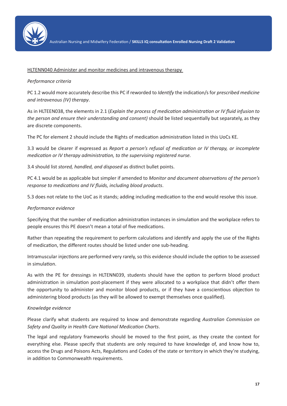

## HLTENN040 Administer and monitor medicines and intravenous therapy

## *Performance criteria*

PC 1.2 would more accurately describe this PC if reworded to *Identify* the indication/s for *prescribed medicine and intravenous (IV) therapy*.

As in HLTEEN038, the elements in 2.1 (*Explain the process of medication administration or IV fluid infusion to the person and ensure their understanding and consent)* should be listed sequentially but separately, as they are discrete components.

The PC for element 2 should include the Rights of medication administration listed in this UoCs KE.

3.3 would be clearer if expressed as *Report a person's refusal of medication or IV therapy, or incomplete medication or IV therapy administration, to the supervising registered nurse.*

3.4 should list *stored, handled, and disposed* as distinct bullet points.

PC 4.1 would be as applicable but simpler if amended to *Monitor and document observations of the person's response to medications and IV fluids, including blood products*.

5.3 does not relate to the UoC as it stands; adding including medication to the end would resolve this issue.

## *Performance evidence*

Specifying that the number of medication administration instances in simulation and the workplace refers to people ensures this PE doesn't mean a total of five medications.

Rather than repeating the requirement to perform calculations and identify and apply the use of the Rights of medication, the different routes should be listed under one sub-heading.

Intramuscular injections are performed very rarely, so this evidence should include the option to be assessed in simulation.

As with the PE for dressings in HLTENN039, students should have the option to perform blood product administration in simulation post-placement if they were allocated to a workplace that didn't offer them the opportunity to administer and monitor blood products, or if they have a conscientious objection to administering blood products (as they will be allowed to exempt themselves once qualified).

## *Knowledge evidence*

Please clarify what students are required to know and demonstrate regarding *Australian Commission on Safety and Quality in Health Care National Medication Charts*.

The legal and regulatory frameworks should be moved to the first point, as they create the context for everything else. Please specify that students are only required to have knowledge of, and know how to, access the Drugs and Poisons Acts, Regulations and Codes of the state or territory in which they're studying, in addition to Commonwealth requirements.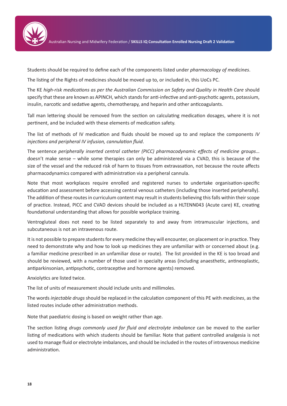

Students should be required to define each of the components listed under *pharmacology of medicines*.

The listing of the Rights of medicines should be moved up to, or included in, this UoCs PC.

The KE *high-risk medications as per the Australian Commission on Safety and Quality in Health Care* should specify that these are known as APINCH, which stands for anti-infective and anti-psychotic agents, potassium, insulin, narcotic and sedative agents, chemotherapy, and heparin and other anticoagulants.

Tall man lettering should be removed from the section on calculating medication dosages, where it is not pertinent, and be included with these elements of medication safety.

The list of methods of IV medication and fluids should be moved up to and replace the components *IV injections and peripheral IV infusion, cannulation fluid*.

The sentence *peripherally inserted central catheter (PICC) pharmacodynamic effects of medicine groups*… doesn't make sense – while some therapies can only be administered via a CVAD, this is because of the size of the vessel and the reduced risk of harm to tissues from extravasation, not because the route affects pharmacodynamics compared with administration via a peripheral cannula.

Note that most workplaces require enrolled and registered nurses to undertake organisation-specific education and assessment before accessing central venous catheters (including those inserted peripherally). The addition of these routes in curriculum content may result in students believing this falls within their scope of practice. Instead, PICC and CVAD devices should be included as a HLTENN043 (Acute care) KE, creating foundational understanding that allows for possible workplace training.

Ventrogluteal does not need to be listed separately to and away from intramuscular injections, and subcutaneous is not an intravenous route.

It is not possible to prepare students for every medicine they will encounter, on placement or in practice. They need to demonstrate why and how to look up medicines they are unfamiliar with or concerned about (e.g. a familiar medicine prescribed in an unfamiliar dose or route). The list provided in the KE is too broad and should be reviewed, with a number of those used in specialty areas (including anaesthetic, antineoplastic, antiparkinsonian, antipsychotic, contraceptive and hormone agents) removed.

Anxiolytics are listed twice.

The list of units of measurement should include units and millimoles.

The words *injectable drugs* should be replaced in the calculation component of this PE with *medicines*, as the listed routes include other administration methods.

Note that paediatric dosing is based on weight rather than age.

The section listing *drugs commonly used for fluid and electrolyte imbalance* can be moved to the earlier listing of medications with which students should be familiar. Note that patient controlled analgesia is not used to manage fluid or electrolyte imbalances, and should be included in the routes of intravenous medicine administration.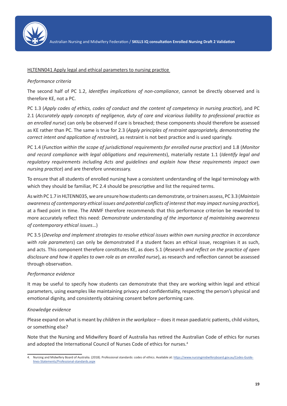

## HLTENN041 Apply legal and ethical parameters to nursing practice

## *Performance criteria*

The second half of PC 1.2, *Identifies implications of non-compliance*, cannot be directly observed and is therefore KE, not a PC.

PC 1.3 (*Apply codes of ethics, codes of conduct and the content of competency in nursing practice*), and PC 2.1 (*Accurately apply concepts of negligence, duty of care and vicarious liability to professional practice as an enrolled nurse*) can only be observed if care is breached; these components should therefore be assessed as KE rather than PC. The same is true for 2.3 (*Apply principles of restraint appropriately, demonstrating the correct intent and application of restraint*), as restraint is not best practice and is used sparingly.

PC 1.4 (*Function within the scope of jurisdictional requirements for enrolled nurse practice*) and 1.8 (*Monitor and record compliance with legal obligations and requirements*), materially restate 1.1 (*Identify legal and regulatory requirements including Acts and guidelines and explain how these requirements impact own nursing practice*) and are therefore unnecessary.

To ensure that all students of enrolled nursing have a consistent understanding of the legal terminology with which they should be familiar, PC 2.4 should be prescriptive and list the required terms.

As with PC 1.7 in HLTENN035, we are unsure how students can demonstrate, or trainers assess, PC 3.3 (*Maintain awareness of contemporary ethical issues and potential conflicts of interest that may impact nursing practice*), at a fixed point in time. The ANMF therefore recommends that this performance criterion be reworded to more accurately reflect this need: *Demonstrate understanding of the importance of maintaining awareness of contemporary ethical issues*…)

PC 3.5 (*Develop and implement strategies to resolve ethical issues within own nursing practice in accordance with role parameters*) can only be demonstrated if a student faces an ethical issue, recognises it as such, and acts. This component therefore constitutes KE, as does 5.1 (*Research and reflect on the practice of open disclosure and how it applies to own role as an enrolled nurse*), as research and reflection cannot be assessed through observation.

## *Performance evidence*

It may be useful to specify how students can demonstrate that they are working within legal and ethical parameters, using examples like maintaining privacy and confidentiality, respecting the person's physical and emotional dignity, and consistently obtaining consent before performing care.

# *Knowledge evidence*

Please expand on what is meant by *children in the workplace* – does it mean paediatric patients, child visitors, or something else?

Note that the Nursing and Midwifery Board of Australia has retired the Australian Code of ethics for nurses and adopted the International Council of Nurses Code of ethics for nurses.4

<sup>4.</sup> Nursing and Midwifery Board of Australia. (2018). Professional standards: codes of ethics. Available at: https://www.nursingmidwiferyboard.gov.au/Codes-Guidelines-Statements/Professional-standards.aspx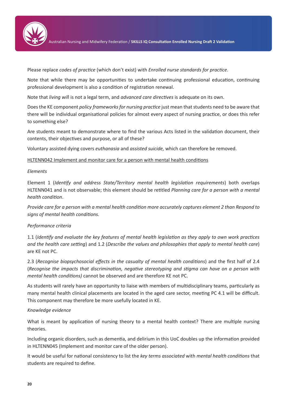

Australian Nursing and Midwifery Federation / **SKILLS IQ Consultation Enrolled Nursing Draft 2 Validation**

Please replace *codes of practice* (which don't exist) with *Enrolled nurse standards for practice*.

Note that while there may be opportunities to undertake continuing professional education, continuing professional development is also a condition of registration renewal.

Note that *living wil*l is not a legal term, and *advanced care directives* is adequate on its own.

Does the KE component *policy frameworks for nursing practice* just mean that students need to be aware that there will be individual organisational policies for almost every aspect of nursing practice, or does this refer to something else?

Are students meant to demonstrate where to find the various Acts listed in the validation document, their contents, their objectives and purpose, or all of these?

Voluntary assisted dying covers *euthanasia* and *assisted suicide,* which can therefore be removed.

## HLTENN042 Implement and monitor care for a person with mental health conditions

## *Elements*

Element 1 (*Identify and address State/Territory mental health legislation requirements*) both overlaps HLTENN041 and is not observable; this element should be retitled *Planning care for a person with a mental health condition*.

*Provide care for a person with a mental health condition more accurately captures element 2 than Respond to signs of mental health conditions.*

# *Performance criteria*

1.1 (*Identify and evaluate the key features of mental health legislation as they apply to own work practices and the health care setting*) and 1.2 (*Describe the values and philosophies that apply to mental health care*) are KE not PC.

2.3 (*Recognise biopsychosocial effects in the casualty of mental health conditions*) and the first half of 2.4 (*Recognise the impacts that discrimination, negative stereotyping and stigma can have on a person with mental health conditions)* cannot be observed and are therefore KE not PC.

As students will rarely have an opportunity to liaise with members of multidisciplinary teams, particularly as many mental health clinical placements are located in the aged care sector, meeting PC 4.1 will be difficult. This component may therefore be more usefully located in KE.

## *Knowledge evidence*

What is meant by application of nursing theory to a mental health context? There are multiple nursing theories.

Including organic disorders, such as dementia, and delirium in this UoC doubles up the information provided in HLTENN045 (Implement and monitor care of the older person).

It would be useful for national consistency to list the *key terms associated* with *mental health conditions* that students are required to define.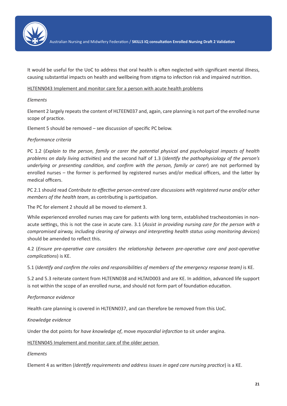

It would be useful for the UoC to address that oral health is often neglected with significant mental illness, causing substantial impacts on health and wellbeing from stigma to infection risk and impaired nutrition.

## HLTENN043 Implement and monitor care for a person with acute health problems

## *Elements*

Element 2 largely repeats the content of HLTEEN037 and, again, care planning is not part of the enrolled nurse scope of practice.

Element 5 should be removed – see discussion of specific PC below.

## *Performance criteria*

PC 1.2 (*Explain to the person, family or carer the potential physical and psychological impacts of health problems on daily living activities*) and the second half of 1.3 (*Identify the pathophysiology of the person's underlying or presenting condition, and confirm with the person, family or carer*) are not performed by enrolled nurses – the former is performed by registered nurses and/or medical officers, and the latter by medical officers.

PC 2.1 should read *Contribute to effective person-centred care discussions with registered nurse and/or other members of the health team*, as contributing is participation.

The PC for element 2 should all be moved to element 3.

While experienced enrolled nurses may care for patients with long term, established tracheostomies in nonacute settings, this is not the case in acute care. 3.1 (*Assist in providing nursing care for the person with a compromised airway, including clearing of airways and interpreting health status using monitoring devices*) should be amended to reflect this.

4.2 (*Ensure pre-operative care considers the relationship between pre-operative care and post-operative complications*) is KE.

5.1 (*Identify and confirm the roles and responsibilities of members of the emergency response team)* is KE.

5.2 and 5.3 reiterate content from HLTENN038 and HLTAID003 and are KE. In addition, advanced life support is not within the scope of an enrolled nurse, and should not form part of foundation education.

# *Performance evidence*

Health care planning is covered in HLTENN037, and can therefore be removed from this UoC.

## *Knowledge evidence*

Under the dot points for *have knowledge of*, move *myocardial infarction* to sit under angina.

## HLTENN045 Implement and monitor care of the older person

## *Elements*

Element 4 as written (*Identify requirements and address issues in aged care nursing practice*) is a KE.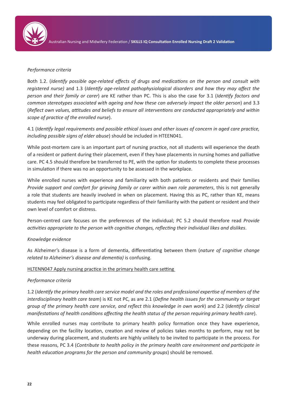

#### *Performance criteria*

Both 1.2. (*Identify possible age-related effects of drugs and medications on the person and consult with registered nurse)* and 1.3 (*Identify age-related pathophysiological disorders and how they may affect the person and their family or carer*) are KE rather than PC. This is also the case for 3.1 (*Identify factors and common stereotypes associated with ageing and how these can adversely impact the older person*) and 3.3 (*Reflect own values, attitudes and beliefs to ensure all interventions are conducted appropriately and within scope of practice of the enrolled nurse*).

4.1 (*Identify legal requirements and possible ethical issues and other issues of concern in aged care practice, including possible signs of elder abuse*) should be included in HTEEN041.

While post-mortem care is an important part of nursing practice, not all students will experience the death of a resident or patient during their placement, even if they have placements in nursing homes and palliative care. PC 4.5 should therefore be transferred to PE, with the option for students to complete these processes in simulation if there was no an opportunity to be assessed in the workplace.

While enrolled nurses with experience and familiarity with both patients or residents and their families *Provide support and comfort for grieving family or carer within own role parameters*, this is not generally a role that students are heavily involved in when on placement. Having this as PC, rather than KE, means students may feel obligated to participate regardless of their familiarity with the patient or resident and their own level of comfort or distress.

Person-centred care focuses on the preferences of the individual; PC 5.2 should therefore read *Provide activities appropriate to the person with cognitive changes, reflecting their individual likes and dislikes*.

#### *Knowledge evidence*

As Alzheimer's disease is a form of dementia, differentiating between them (*nature of cognitive change related to Alzheimer's disease and dementia)* is confusing.

#### HLTENN047 Apply nursing practice in the primary health care setting

#### *Performance criteria*

1.2 (*Identify the primary health care service model and the roles and professional expertise of members of the interdisciplinary health care team*) is KE not PC, as are 2.1 (*Define health issues for the community or target group of the primary health care service, and reflect this knowledge in own work*) and 2.2 (*Identify clinical manifestations of health conditions affecting the health status of the person requiring primary health care*).

While enrolled nurses may contribute to primary health policy formation once they have experience, depending on the facility location, creation and review of policies takes months to perform, may not be underway during placement, and students are highly unlikely to be invited to participate in the process. For these reasons, PC 3.4 (*Contribute to health policy in the primary health care environment and participate in health education programs for the person and community groups*) should be removed.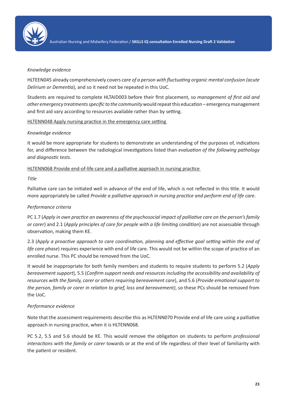

#### *Knowledge evidence*

HLTEEN045 already comprehensively covers *care of a person with fluctuating organic mental confusion (acute Delirium or Dementia*), and so it need not be repeated in this UoC.

Students are required to complete HLTAID003 before their first placement, so *management of first aid and other emergency treatments specific to the community* would repeat this education – emergency management and first aid vary according to resources available rather than by setting.

## HLTENN048 Apply nursing practice in the emergency care setting

## *Knowledge evidence*

It would be more appropriate for students to demonstrate an understanding of the purposes of, indications for, and difference between the radiological investigations listed than *evaluation of the following pathology and diagnostic tests*.

HLTENN068 Provide end-of-life care and a palliative approach in nursing practice

#### *Title*

Palliative care can be initiated well in advance of the end of life, which is not reflected in this title. It would more appropriately be called *Provide a palliative approach in nursing practice and perform end of life care*.

## *Performance criteria*

PC 1.7 (*Apply in own practice an awareness of the psychosocial impact of palliative care on the person's family or carer*) and 2.1 (*Apply principles of care for people with a life limiting condition*) are not assessable through observation, making them KE.

2.3 (A*pply a proactive approach to care coordination, planning and effective goal setting within the end of life care phase*) requires experience with end of life care. This would not be within the scope of practice of an enrolled nurse. This PC should be removed from the UoC.

It would be inappropriate for both family members and students to require students to perform 5.2 (*Apply bereavement support*), 5.5 (*Confirm support needs and resources including the accessibility and availability of resources with the family, carer or others requiring bereavement care*), and 5.6 (*Provide emotional support to the person, family or carer in relation to grief, loss and bereavement)*, so these PCs should be removed from the UoC.

## *Performance evidence*

Note that the assessment requirements describe this as HLTENN070 Provide end of life care using a palliative approach in nursing practice, when it is HLTENN068.

PC 5.2, 5.5 and 5.6 should be KE. This would remove the obligation on students to perform *professional interactions with the family or carer* towards or at the end of life regardless of their level of familiarity with the patient or resident.